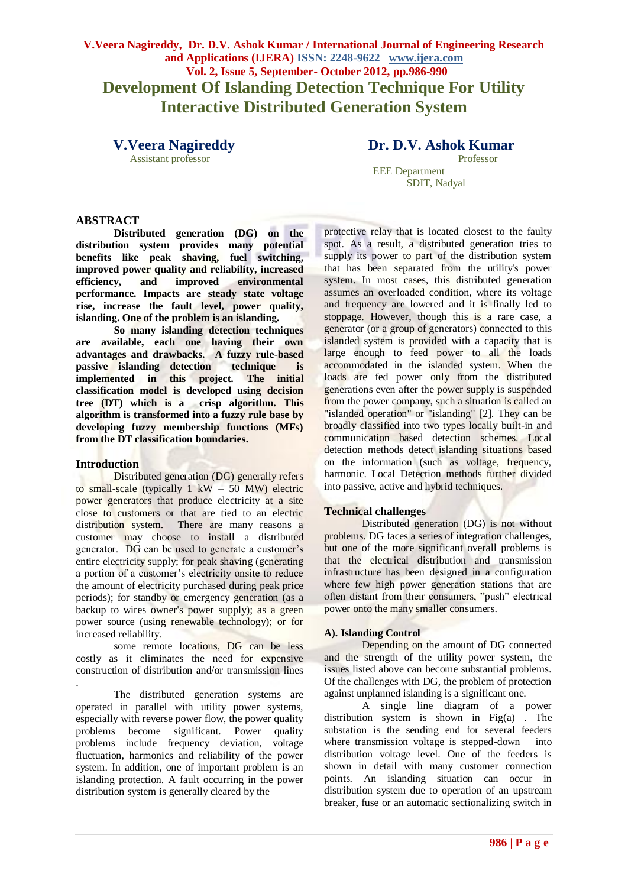## **V.Veera Nagireddy, Dr. D.V. Ashok Kumar / International Journal of Engineering Research and Applications (IJERA) ISSN: 2248-9622 www.ijera.com Vol. 2, Issue 5, September- October 2012, pp.986-990 Development Of Islanding Detection Technique For Utility Interactive Distributed Generation System**

Assistant professor Professor

**V.Veera Nagireddy Dr. D.V. Ashok Kumar** 

 EEE Department SDIT, Nadyal

## **ABSTRACT**

**Distributed generation (DG) on the distribution system provides many potential benefits like peak shaving, fuel switching,**  improved power quality and reliability, increased<br>efficiency, and improved environmental efficiency, and improved **performance. Impacts are steady state voltage rise, increase the fault level, power quality, islanding. One of the problem is an islanding.**

**So many islanding detection techniques are available, each one having their own advantages and drawbacks. A fuzzy rule-based passive islanding detection technique is implemented in this project. The initial classification model is developed using decision tree (DT) which is a crisp algorithm. This algorithm is transformed into a fuzzy rule base by developing fuzzy membership functions (MFs) from the DT classification boundaries.**

#### **Introduction**

Distributed generation (DG) generally refers to small-scale (typically  $1 \text{ kW} - 50 \text{ MW}$ ) electric power generators that produce electricity at a site close to customers or that are tied to an electric distribution system. There are many reasons a customer may choose to install a distributed generator. DG can be used to generate a customer's entire electricity supply; for peak shaving (generating a portion of a customer"s electricity onsite to reduce the amount of electricity purchased during peak price periods); for standby or emergency generation (as a backup to wires owner's power supply); as a green power source (using renewable technology); or for increased reliability.

some remote locations, DG can be less costly as it eliminates the need for expensive construction of distribution and/or transmission lines

. The distributed generation systems are operated in parallel with utility power systems, especially with reverse power flow, the power quality problems become significant. Power quality problems include frequency deviation, voltage fluctuation, harmonics and reliability of the power system. In addition, one of important problem is an islanding protection. A fault occurring in the power distribution system is generally cleared by the

protective relay that is located closest to the faulty spot. As a result, a distributed generation tries to supply its power to part of the distribution system that has been separated from the utility's power system. In most cases, this distributed generation assumes an overloaded condition, where its voltage and frequency are lowered and it is finally led to stoppage. However, though this is a rare case, a generator (or a group of generators) connected to this islanded system is provided with a capacity that is large enough to feed power to all the loads accommodated in the islanded system. When the loads are fed power only from the distributed generations even after the power supply is suspended from the power company, such a situation is called an "islanded operation" or "islanding" [2]. They can be broadly classified into two types locally built-in and communication based detection schemes. Local detection methods detect islanding situations based on the information (such as voltage, frequency, harmonic. Local Detection methods further divided into passive, active and hybrid techniques.

## **Technical challenges**

Distributed generation (DG) is not without problems. DG faces a series of integration challenges, but one of the more significant overall problems is that the electrical distribution and transmission infrastructure has been designed in a configuration where few high power generation stations that are often distant from their consumers, "push" electrical power onto the many smaller consumers.

#### **A). Islanding Control**

Depending on the amount of DG connected and the strength of the utility power system, the issues listed above can become substantial problems. Of the challenges with DG, the problem of protection against unplanned islanding is a significant one.

A single line diagram of a power distribution system is shown in Fig(a) . The substation is the sending end for several feeders where transmission voltage is stepped-down into distribution voltage level. One of the feeders is shown in detail with many customer connection points. An islanding situation can occur in distribution system due to operation of an upstream breaker, fuse or an automatic sectionalizing switch in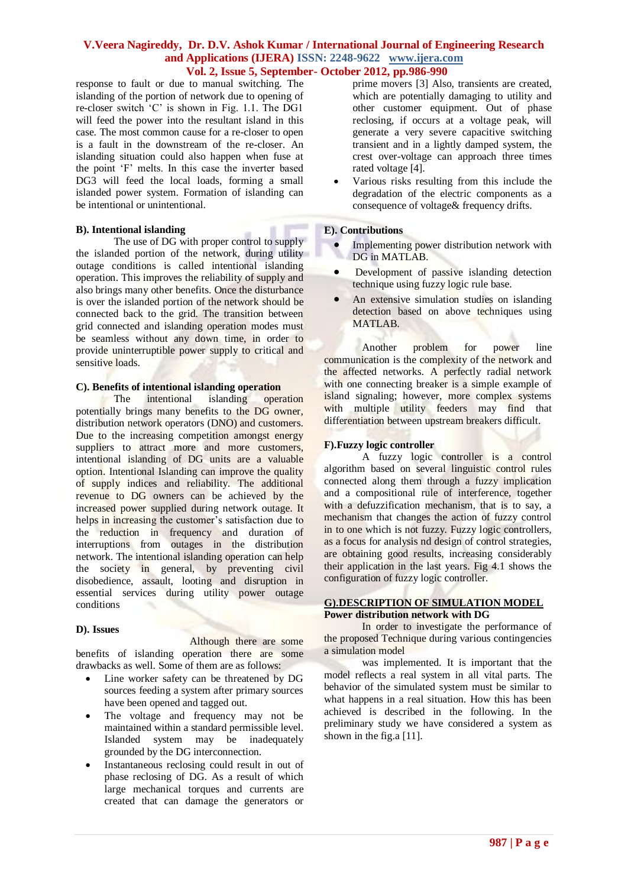response to fault or due to manual switching. The islanding of the portion of network due to opening of re-closer switch "C" is shown in Fig. 1.1. The DG1 will feed the power into the resultant island in this case. The most common cause for a re-closer to open is a fault in the downstream of the re-closer. An islanding situation could also happen when fuse at the point "F" melts. In this case the inverter based DG3 will feed the local loads, forming a small islanded power system. Formation of islanding can be intentional or unintentional.

## **B). Intentional islanding**

The use of DG with proper control to supply the islanded portion of the network, during utility outage conditions is called intentional islanding operation. This improves the reliability of supply and also brings many other benefits. Once the disturbance is over the islanded portion of the network should be connected back to the grid. The transition between grid connected and islanding operation modes must be seamless without any down time, in order to provide uninterruptible power supply to critical and sensitive loads.

# **C). Benefits of intentional islanding operation**

The intentional islanding operation potentially brings many benefits to the DG owner, distribution network operators (DNO) and customers. Due to the increasing competition amongst energy suppliers to attract more and more customers, intentional islanding of DG units are a valuable option. Intentional Islanding can improve the quality of supply indices and reliability. The additional revenue to DG owners can be achieved by the increased power supplied during network outage. It helps in increasing the customer's satisfaction due to the reduction in frequency and duration of interruptions from outages in the distribution network. The intentional islanding operation can help the society in general, by preventing civil disobedience, assault, looting and disruption in essential services during utility power outage conditions

## **D). Issues**

Although there are some benefits of islanding operation there are some drawbacks as well. Some of them are as follows:

- Line worker safety can be threatened by DG sources feeding a system after primary sources have been opened and tagged out.
- The voltage and frequency may not be maintained within a standard permissible level. Islanded system may be inadequately grounded by the DG interconnection.
- Instantaneous reclosing could result in out of phase reclosing of DG. As a result of which large mechanical torques and currents are created that can damage the generators or

prime movers [3] Also, transients are created, which are potentially damaging to utility and other customer equipment. Out of phase reclosing, if occurs at a voltage peak, will generate a very severe capacitive switching transient and in a lightly damped system, the crest over-voltage can approach three times rated voltage [4].

 Various risks resulting from this include the degradation of the electric components as a consequence of voltage& frequency drifts.

## **E). Contributions**

- Implementing power distribution network with DG in MATLAB.
- Development of passive islanding detection technique using fuzzy logic rule base.
- An extensive simulation studies on islanding detection based on above techniques using MATLAB.

Another problem for power line communication is the complexity of the network and the affected networks. A perfectly radial network with one connecting breaker is a simple example of island signaling; however, more complex systems with multiple utility feeders may find that differentiation between upstream breakers difficult.

## **F).Fuzzy logic controller**

A fuzzy logic controller is a control algorithm based on several linguistic control rules connected along them through a fuzzy implication and a compositional rule of interference, together with a defuzzification mechanism, that is to say, a mechanism that changes the action of fuzzy control in to one which is not fuzzy. Fuzzy logic controllers, as a focus for analysis nd design of control strategies, are obtaining good results, increasing considerably their application in the last years. Fig 4.1 shows the configuration of fuzzy logic controller.

#### **G).DESCRIPTION OF SIMULATION MODEL Power distribution network with DG**

In order to investigate the performance of the proposed Technique during various contingencies a simulation model

was implemented. It is important that the model reflects a real system in all vital parts. The behavior of the simulated system must be similar to what happens in a real situation. How this has been achieved is described in the following. In the preliminary study we have considered a system as shown in the fig. a [11].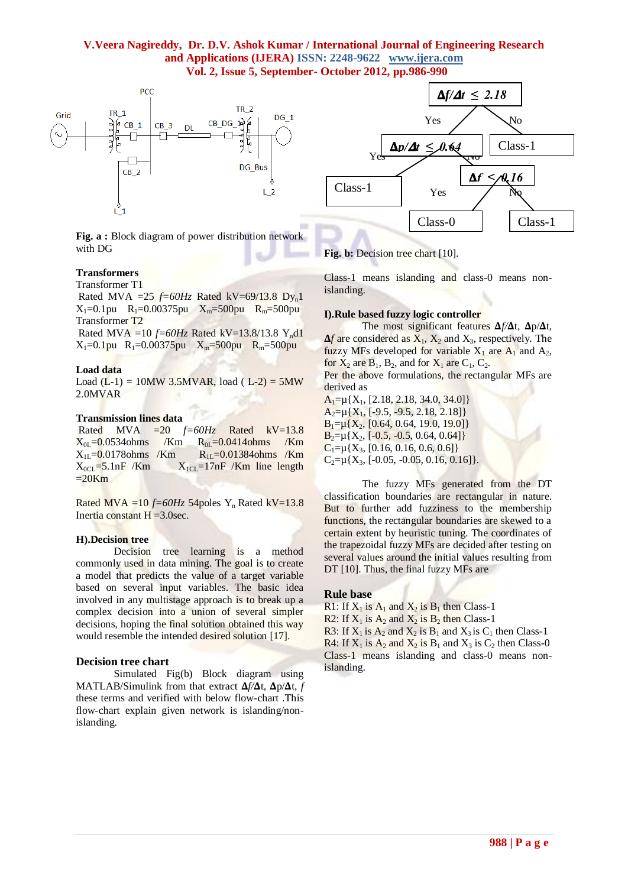

**Fig. a :** Block diagram of power distribution network with DG

## **Transformers**

Transformer T1

Rated MVA =25  $f=60Hz$  Rated kV=69/13.8 Dy<sub>n</sub>1  $X_1=0.1$ pu R<sub>1</sub>=0.00375pu  $X_m=500$ pu R<sub>m</sub>=500pu Transformer T2

Rated MVA =10 *f=60Hz* Rated kV=13.8/13.8 Ynd1  $X_1=0.1$ pu R<sub>1</sub>=0.00375pu  $X_m=500$ pu R<sub>m</sub>=500pu

#### **Load data**

Load  $(L-1) = 10MW 3.5MVAR$ , load  $(L-2) = 5MW$ 2.0MVAR

#### **Transmission lines data**

Rated MVA  $=20$   $f=60Hz$  Rated  $kV=13.8$  $X_{0L} = 0.0534$ ohms /Km  $R_{0L} = 0.0414$ ohms /Km  $X_{1L} = 0.0178$ ohms /Km  $R_{1L} = 0.01384$ ohms /Km  $X_{0CL}$ =5.1nF /Km  $X_{1CL}$ =17nF /Km line length  $=20Km$ 

Rated MVA =10  $f=60Hz$  54poles Y<sub>n</sub> Rated kV=13.8 Inertia constant  $H = 3.0$ sec.

#### **H).Decision tree**

Decision tree learning is a method commonly used in data mining. The goal is to create a model that predicts the value of a target variable based on several input variables. The basic idea involved in any multistage approach is to break up a complex decision into a union of several simpler decisions, hoping the final solution obtained this way would resemble the intended desired solution [17].

#### **Decision tree chart**

Simulated Fig(b) Block diagram using MATLAB/Simulink from that extract  $\Delta f/\Delta t$ ,  $\Delta p/\Delta t$ , *f* these terms and verified with below flow-chart .This flow-chart explain given network is islanding/nonislanding.



#### Fig. b: Decision tree chart [10].

Class-1 means islanding and class-0 means nonislanding.

#### **I).Rule based fuzzy logic controller**

The most significant features  $\Delta f/\Delta t$ ,  $\Delta p/\Delta t$ ,  $\Delta f$  are considered as  $X_1$ ,  $X_2$  and  $X_3$ , respectively. The fuzzy MFs developed for variable  $X_1$  are  $A_1$  and  $A_2$ , for  $X_2$  are  $B_1$ ,  $B_2$ , and for  $X_1$  are  $C_1$ ,  $C_2$ . Per the above formulations, the rectangular MFs are

derived as

 $A_1= \mu\{X_1, [2.18, 2.18, 34.0, 34.0]\}$  $A_2= \mu\{X_1, [-9.5, -9.5, 2.18, 2.18]\}$  $B_1= \mu\{X_2, [0.64, 0.64, 19.0, 19.0]\}$  $B_2= \mu\{X_2, [-0.5, -0.5, 0.64, 0.64]\}$  $C_1 = \mu\{X_3, [0.16, 0.16, 0.6, 0.6]\}$  $C_2= \mu\{X_3, [-0.05, -0.05, 0.16, 0.16]\}.$ 

The fuzzy MFs generated from the DT classification boundaries are rectangular in nature. But to further add fuzziness to the membership functions, the rectangular boundaries are skewed to a certain extent by heuristic tuning. The coordinates of the trapezoidal fuzzy MFs are decided after testing on several values around the initial values resulting from DT [10]. Thus, the final fuzzy MFs are

#### **Rule base**

R1: If  $X_1$  is  $A_1$  and  $X_2$  is  $B_1$  then Class-1

R2: If  $X_1$  is  $A_2$  and  $X_2$  is  $B_2$  then Class-1

R3: If  $X_1$  is  $A_2$  and  $X_2$  is  $B_1$  and  $X_3$  is  $C_1$  then Class-1 R4: If  $X_1$  is  $A_2$  and  $X_2$  is  $B_1$  and  $X_3$  is  $C_2$  then Class-0 Class-1 means islanding and class-0 means nonislanding.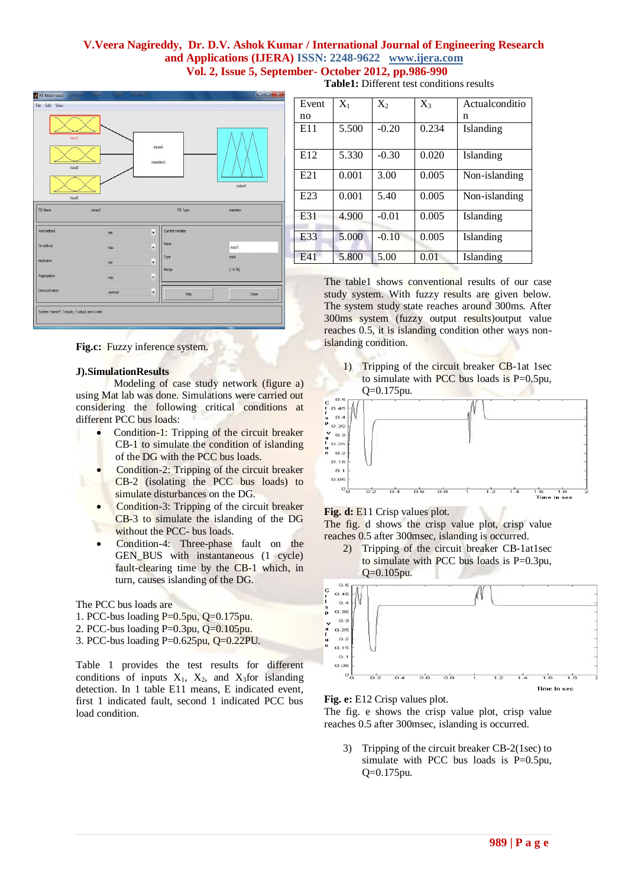

**Fig.c:** Fuzzy inference system.

#### **J).SimulationResults**

Modeling of case study network (figure a) using Mat lab was done. Simulations were carried out considering the following critical conditions at different PCC bus loads:

- Condition-1: Tripping of the circuit breaker CB-1 to simulate the condition of islanding of the DG with the PCC bus loads.
- Condition-2: Tripping of the circuit breaker CB-2 (isolating the PCC bus loads) to simulate disturbances on the DG.
- Condition-3: Tripping of the circuit breaker CB-3 to simulate the islanding of the DG without the PCC- bus loads.
- Condition-4: Three-phase fault on the GEN\_BUS with instantaneous (1 cycle) fault-clearing time by the CB-1 which, in turn, causes islanding of the DG.

The PCC bus loads are

- 1. PCC-bus loading P=0.5pu, Q=0.175pu.
- 2. PCC-bus loading P=0.3pu, Q=0.105pu.
- 3. PCC-bus loading P=0.625pu, Q=0.22PU.

Table 1 provides the test results for different conditions of inputs  $X_1$ ,  $X_2$ , and  $X_3$  for islanding detection. In 1 table E11 means, E indicated event, first 1 indicated fault, second 1 indicated PCC bus load condition.

**Table1:** Different test conditions results

| Event           | $X_{1}$ | $X_2$   | $X_3$ | Actualconditio |
|-----------------|---------|---------|-------|----------------|
| no              |         |         |       | n              |
| E11             | 5.500   | $-0.20$ | 0.234 | Islanding      |
| E <sub>12</sub> | 5.330   | $-0.30$ | 0.020 | Islanding      |
| E <sub>21</sub> | 0.001   | 3.00    | 0.005 | Non-islanding  |
| E <sub>23</sub> | 0.001   | 5.40    | 0.005 | Non-islanding  |
| E31             | 4.900   | $-0.01$ | 0.005 | Islanding      |
| E33             | 5.000   | $-0.10$ | 0.005 | Islanding      |
| E41             | 5.800   | 5.00    | 0.01  | Islanding      |

The table1 shows conventional results of our case study system. With fuzzy results are given below. The system study state reaches around 300ms. After 300ms system (fuzzy output results)output value reaches 0.5, it is islanding condition other ways nonislanding condition.

1) Tripping of the circuit breaker CB-1at 1sec to simulate with PCC bus loads is P=0.5pu, Q=0.175pu.



Fig. d: E11 Crisp values plot.

The fig. d shows the crisp value plot, crisp value reaches 0.5 after 300msec, islanding is occurred.

2) Tripping of the circuit breaker CB-1at1sec to simulate with PCC bus loads is P=0.3pu, Q=0.105pu.



**Fig. e:** E12 Crisp values plot.

The fig. e shows the crisp value plot, crisp value reaches 0.5 after 300msec, islanding is occurred.

3) Tripping of the circuit breaker CB-2(1sec) to simulate with PCC bus loads is P=0.5pu, Q=0.175pu.